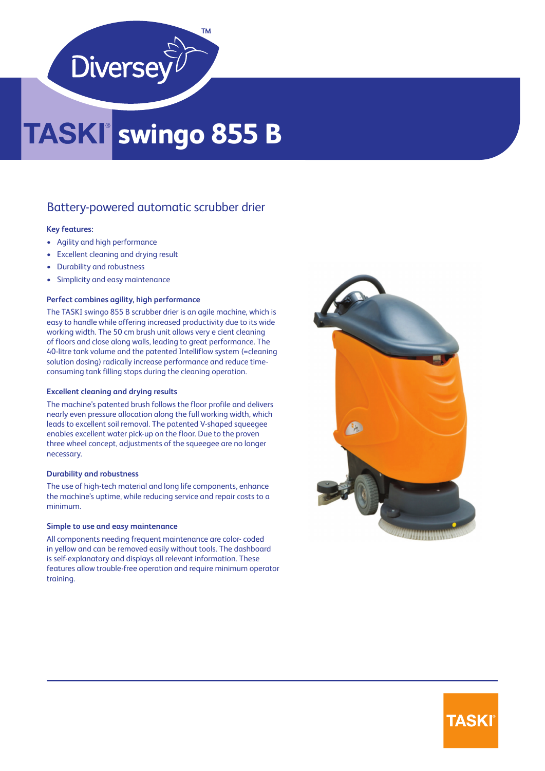

## **swingo 855 B**

### Battery-powered automatic scrubber drier

#### **Key features:**

- Agility and high performance
- Excellent cleaning and drying result
- Durability and robustness
- Simplicity and easy maintenance

#### **Perfect combines agility, high performance**

The TASKI swingo 855 B scrubber drier is an agile machine, which is easy to handle while offering increased productivity due to its wide working width. The 50 cm brush unit allows very e cient cleaning of floors and close along walls, leading to great performance. The 40-litre tank volume and the patented Intelliflow system (=cleaning solution dosing) radically increase performance and reduce timeconsuming tank filling stops during the cleaning operation.

#### **Excellent cleaning and drying results**

The machine's patented brush follows the floor profile and delivers nearly even pressure allocation along the full working width, which leads to excellent soil removal. The patented V-shaped squeegee enables excellent water pick-up on the floor. Due to the proven three wheel concept, adjustments of the squeegee are no longer necessary.

#### **Durability and robustness**

The use of high-tech material and long life components, enhance the machine's uptime, while reducing service and repair costs to a minimum.

#### **Simple to use and easy maintenance**

All components needing frequent maintenance are color- coded in yellow and can be removed easily without tools. The dashboard is self-explanatory and displays all relevant information. These features allow trouble-free operation and require minimum operator training.